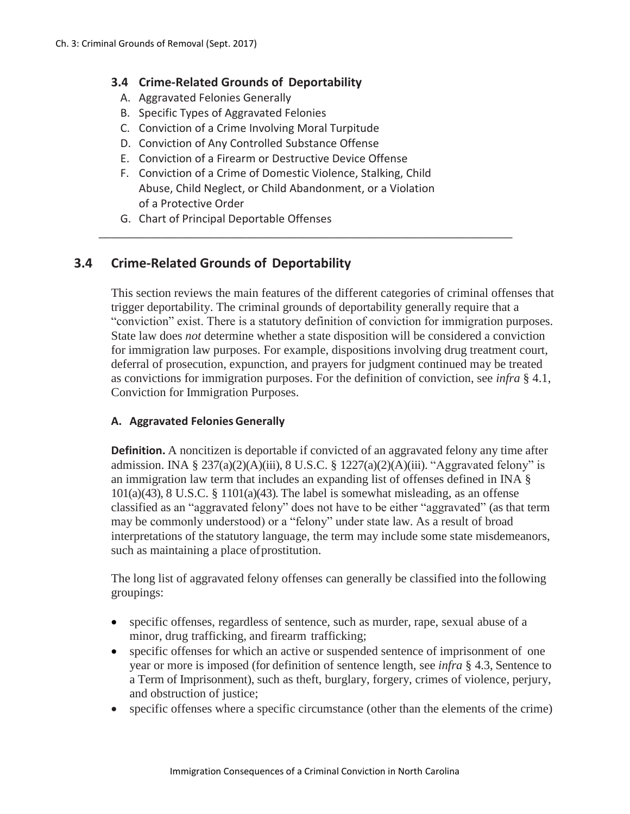### **3.4 Crime-Related Grounds of Deportability**

- A. Aggravated Felonies Generally
- B. Specific Types of Aggravated Felonies
- C. Conviction of a Crime Involving Moral Turpitude
- D. Conviction of Any Controlled Substance Offense
- E. Conviction of a Firearm or Destructive Device Offense
- F. Conviction of a Crime of Domestic Violence, Stalking, Child Abuse, Child Neglect, or Child Abandonment, or a Violation of a Protective Order

\_\_\_\_\_\_\_\_\_\_\_\_\_\_\_\_\_\_\_\_\_\_\_\_\_\_\_\_\_\_\_\_\_\_\_\_\_\_\_\_\_\_\_\_\_\_\_\_\_\_\_\_\_\_\_\_\_\_\_\_\_\_\_\_\_\_\_

G. Chart of Principal Deportable Offenses

# **3.4 Crime-Related Grounds of Deportability**

This section reviews the main features of the different categories of criminal offenses that trigger deportability. The criminal grounds of deportability generally require that a "conviction" exist. There is a statutory definition of conviction for immigration purposes. State law does *not* determine whether a state disposition will be considered a conviction for immigration law purposes. For example, dispositions involving drug treatment court, deferral of prosecution, expunction, and prayers for judgment continued may be treated as convictions for immigration purposes. For the definition of conviction, see *infra* § 4.1, Conviction for Immigration Purposes.

### **A. Aggravated Felonies Generally**

**Definition.** A noncitizen is deportable if convicted of an aggravated felony any time after admission. INA  $\S 237(a)(2)(A)(iii)$ , 8 U.S.C.  $\S 1227(a)(2)(A)(iii)$ . "Aggravated felony" is an immigration law term that includes an expanding list of offenses defined in INA §  $101(a)(43)$ , 8 U.S.C. §  $1101(a)(43)$ . The label is somewhat misleading, as an offense classified as an "aggravated felony" does not have to be either "aggravated" (as that term may be commonly understood) or a "felony" under state law. As a result of broad interpretations of the statutory language, the term may include some state misdemeanors, such as maintaining a place of prostitution.

The long list of aggravated felony offenses can generally be classified into the following groupings:

- specific offenses, regardless of sentence, such as murder, rape, sexual abuse of a minor, drug trafficking, and firearm trafficking;
- specific offenses for which an active or suspended sentence of imprisonment of one year or more is imposed (for definition of sentence length, see *infra* § 4.3, Sentence to a Term of Imprisonment), such as theft, burglary, forgery, crimes of violence, perjury, and obstruction of justice;
- specific offenses where a specific circumstance (other than the elements of the crime)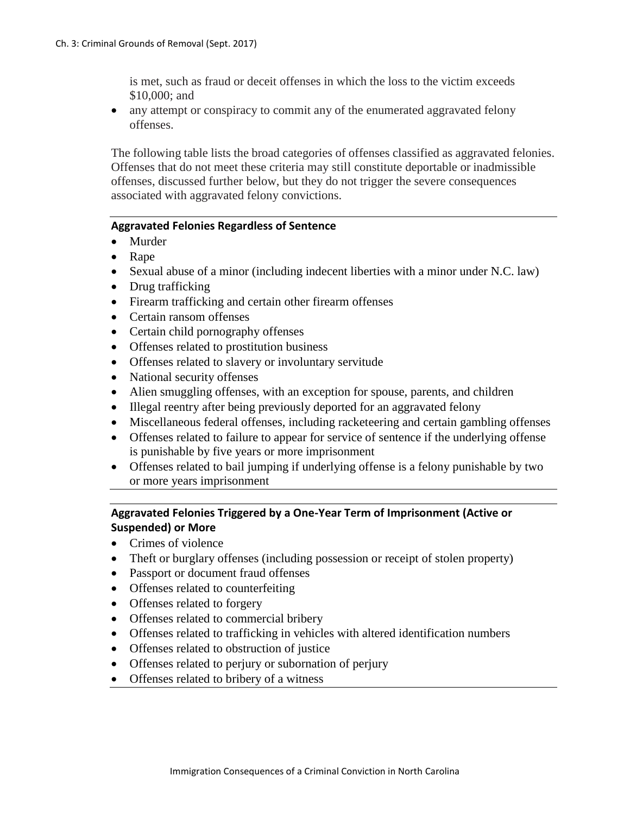is met, such as fraud or deceit offenses in which the loss to the victim exceeds \$10,000; and

• any attempt or conspiracy to commit any of the enumerated aggravated felony offenses.

The following table lists the broad categories of offenses classified as aggravated felonies. Offenses that do not meet these criteria may still constitute deportable or inadmissible offenses, discussed further below, but they do not trigger the severe consequences associated with aggravated felony convictions.

#### **Aggravated Felonies Regardless of Sentence**

- Murder
- Rape
- Sexual abuse of a minor (including indecent liberties with a minor under N.C. law)
- Drug trafficking
- Firearm trafficking and certain other firearm offenses
- Certain ransom offenses
- Certain child pornography offenses
- Offenses related to prostitution business
- Offenses related to slavery or involuntary servitude
- National security offenses
- Alien smuggling offenses, with an exception for spouse, parents, and children
- Illegal reentry after being previously deported for an aggravated felony
- Miscellaneous federal offenses, including racketeering and certain gambling offenses
- Offenses related to failure to appear for service of sentence if the underlying offense is punishable by five years or more imprisonment
- Offenses related to bail jumping if underlying offense is a felony punishable by two or more years imprisonment

## **Aggravated Felonies Triggered by a One-Year Term of Imprisonment (Active or Suspended) or More**

- Crimes of violence
- Theft or burglary offenses (including possession or receipt of stolen property)
- Passport or document fraud offenses
- Offenses related to counterfeiting
- Offenses related to forgery
- Offenses related to commercial bribery
- Offenses related to trafficking in vehicles with altered identification numbers
- Offenses related to obstruction of justice
- Offenses related to perjury or subornation of perjury
- Offenses related to bribery of a witness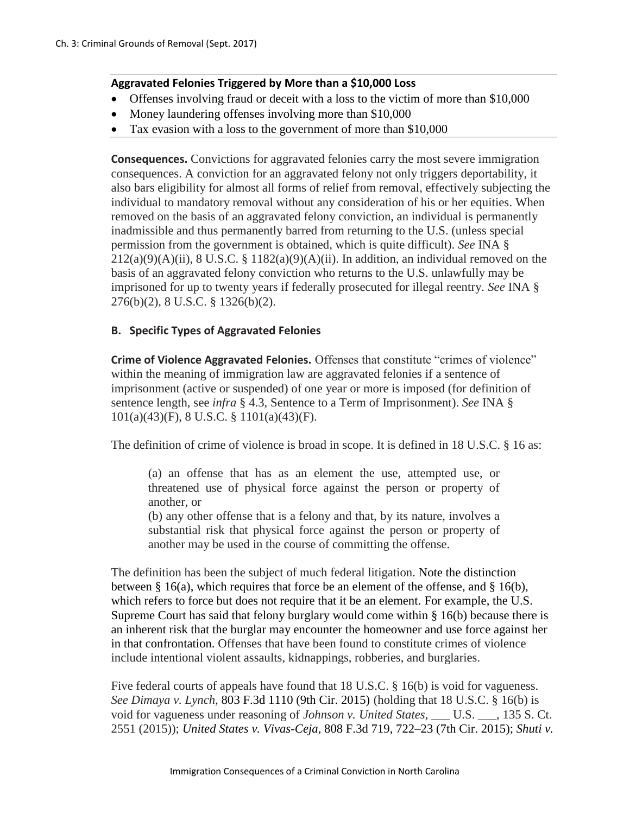### **Aggravated Felonies Triggered by More than a \$10,000 Loss**

- Offenses involving fraud or deceit with a loss to the victim of more than \$10,000
- Money laundering offenses involving more than \$10,000
- Tax evasion with a loss to the government of more than \$10,000

**Consequences.** Convictions for aggravated felonies carry the most severe immigration consequences. A conviction for an aggravated felony not only triggers deportability, it also bars eligibility for almost all forms of relief from removal, effectively subjecting the individual to mandatory removal without any consideration of his or her equities. When removed on the basis of an aggravated felony conviction, an individual is permanently inadmissible and thus permanently barred from returning to the U.S. (unless special permission from the government is obtained, which is quite difficult). *See* INA §  $212(a)(9)(A)(ii)$ , 8 U.S.C. § 1182 $(a)(9)(A)(ii)$ . In addition, an individual removed on the basis of an aggravated felony conviction who returns to the U.S. unlawfully may be imprisoned for up to twenty years if federally prosecuted for illegal reentry. *See* INA § 276(b)(2), 8 U.S.C. § 1326(b)(2).

### **B. Specific Types of Aggravated Felonies**

**Crime of Violence Aggravated Felonies.** Offenses that constitute "crimes of violence" within the meaning of immigration law are aggravated felonies if a sentence of imprisonment (active or suspended) of one year or more is imposed (for definition of sentence length, see *infra* § 4.3, Sentence to a Term of Imprisonment). *See* INA § 101(a)(43)(F), 8 U.S.C. § 1101(a)(43)(F).

The definition of crime of violence is broad in scope. It is defined in 18 U.S.C. § 16 as:

(a) an offense that has as an element the use, attempted use, or threatened use of physical force against the person or property of another, or

(b) any other offense that is a felony and that, by its nature, involves a substantial risk that physical force against the person or property of another may be used in the course of committing the offense.

The definition has been the subject of much federal litigation. Note the distinction between § 16(a), which requires that force be an element of the offense, and § 16(b), which refers to force but does not require that it be an element. For example, the U.S. Supreme Court has said that felony burglary would come within § 16(b) because there is an inherent risk that the burglar may encounter the homeowner and use force against her in that confrontation. Offenses that have been found to constitute crimes of violence include intentional violent assaults, kidnappings, robberies, and burglaries.

Five federal courts of appeals have found that 18 U.S.C. § 16(b) is void for vagueness. *See Dimaya v. Lynch*, 803 F.3d 1110 (9th Cir. 2015) (holding that 18 U.S.C. § 16(b) is void for vagueness under reasoning of *Johnson v. United States*, \_\_\_ U.S. \_\_\_, 135 S. Ct. 2551 (2015)); *United States v. Vivas-Ceja*, 808 F.3d 719, 722–23 (7th Cir. 2015); *Shuti v.*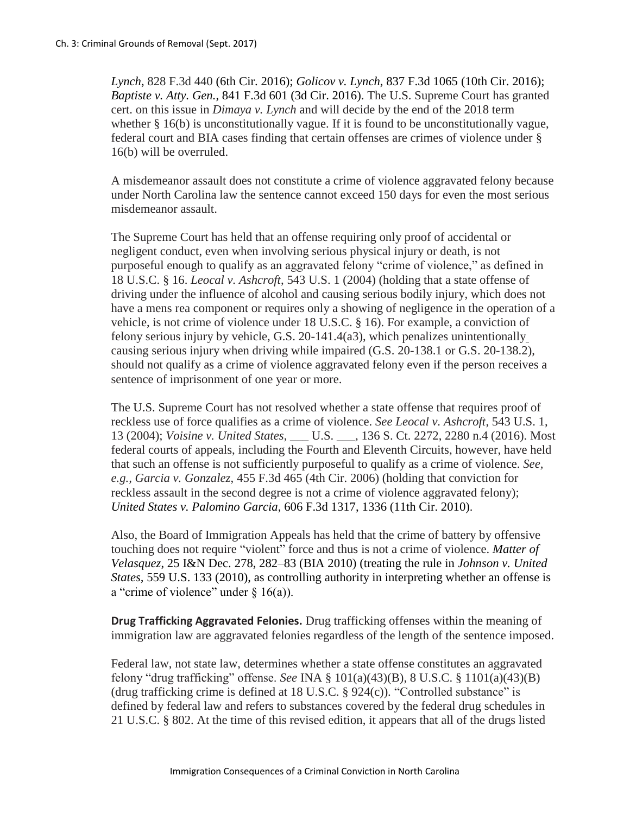*Lynch*, 828 F.3d 440 (6th Cir. 2016); *Golicov v. Lynch*, 837 F.3d 1065 (10th Cir. 2016); *Baptiste v. Atty. Gen.*, 841 F.3d 601 (3d Cir. 2016). The U.S. Supreme Court has granted cert. on this issue in *Dimaya v. Lynch* and will decide by the end of the 2018 term whether § 16(b) is unconstitutionally vague. If it is found to be unconstitutionally vague, federal court and BIA cases finding that certain offenses are crimes of violence under § 16(b) will be overruled.

A misdemeanor assault does not constitute a crime of violence aggravated felony because under North Carolina law the sentence cannot exceed 150 days for even the most serious misdemeanor assault.

The Supreme Court has held that an offense requiring only proof of accidental or negligent conduct, even when involving serious physical injury or death, is not purposeful enough to qualify as an aggravated felony "crime of violence," as defined in 18 U.S.C. § 16. *Leocal v. Ashcroft*, 543 U.S. 1 (2004) (holding that a state offense of driving under the influence of alcohol and causing serious bodily injury, which does not have a mens rea component or requires only a showing of negligence in the operation of a vehicle, is not crime of violence under 18 U.S.C. § 16). For example, a conviction of felony serious injury by vehicle, G.S. 20-141.4(a3), which penalizes unintentionally causing serious injury when driving while impaired (G.S. 20-138.1 or G.S. 20-138.2), should not qualify as a crime of violence aggravated felony even if the person receives a sentence of imprisonment of one year or more.

The U.S. Supreme Court has not resolved whether a state offense that requires proof of reckless use of force qualifies as a crime of violence. *See Leocal v. Ashcroft*, 543 U.S. 1, 13 (2004); *Voisine v. United States*, \_\_\_ U.S. \_\_\_, 136 S. Ct. 2272, 2280 n.4 (2016). Most federal courts of appeals, including the Fourth and Eleventh Circuits, however, have held that such an offense is not sufficiently purposeful to qualify as a crime of violence. *See, e.g., Garcia v. Gonzalez*, 455 F.3d 465 (4th Cir. 2006) (holding that conviction for reckless assault in the second degree is not a crime of violence aggravated felony); *United States v. Palomino Garcia*, 606 F.3d 1317, 1336 (11th Cir. 2010).

Also, the Board of Immigration Appeals has held that the crime of battery by offensive touching does not require "violent" force and thus is not a crime of violence. *Matter of Velasquez*, 25 I&N Dec. 278, 282–83 (BIA 2010) (treating the rule in *Johnson v. United States,* 559 U.S. 133 (2010), as controlling authority in interpreting whether an offense is a "crime of violence" under  $\S$  16(a)).

**Drug Trafficking Aggravated Felonies.** Drug trafficking offenses within the meaning of immigration law are aggravated felonies regardless of the length of the sentence imposed.

Federal law, not state law, determines whether a state offense constitutes an aggravated felony "drug trafficking" offense. *See* INA § 101(a)(43)(B), 8 U.S.C. § 1101(a)(43)(B) (drug trafficking crime is defined at 18 U.S.C.  $\S$  924(c)). "Controlled substance" is defined by federal law and refers to substances covered by the federal drug schedules in 21 U.S.C. § 802. At the time of this revised edition, it appears that all of the drugs listed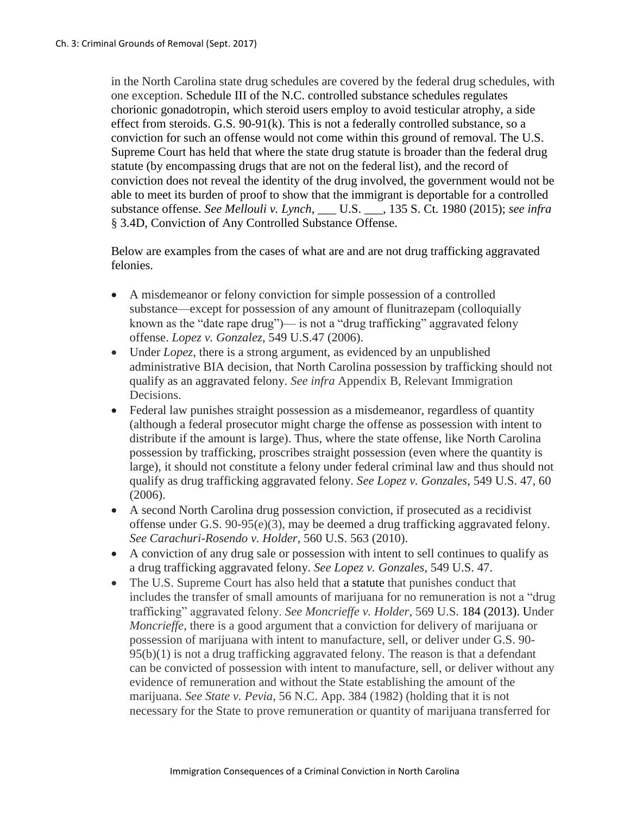in the North Carolina state drug schedules are covered by the federal drug schedules, with one exception. Schedule III of the N.C. controlled substance schedules regulates chorionic gonadotropin, which steroid users employ to avoid testicular atrophy, a side effect from steroids. G.S. 90-91(k). This is not a federally controlled substance, so a conviction for such an offense would not come within this ground of removal. The U.S. Supreme Court has held that where the state drug statute is broader than the federal drug statute (by encompassing drugs that are not on the federal list), and the record of conviction does not reveal the identity of the drug involved, the government would not be able to meet its burden of proof to show that the immigrant is deportable for a controlled substance offense. *See Mellouli v. Lynch*, \_\_\_ U.S. \_\_\_, 135 S. Ct. 1980 (2015); *see infra* § 3.4D, Conviction of Any Controlled Substance Offense.

Below are examples from the cases of what are and are not drug trafficking aggravated felonies.

- A misdemeanor or felony conviction for simple possession of a controlled substance—except for possession of any amount of flunitrazepam (colloquially known as the "date rape drug")— is not a "drug trafficking" aggravated felony offense. *Lopez v. Gonzalez*, 549 U.S.47 (2006).
- Under *Lopez*, there is a strong argument, as evidenced by an unpublished administrative BIA decision, that North Carolina possession by trafficking should not qualify as an aggravated felony. *See infra* Appendix B, Relevant Immigration Decisions.
- Federal law punishes straight possession as a misdemeanor, regardless of quantity (although a federal prosecutor might charge the offense as possession with intent to distribute if the amount is large). Thus, where the state offense, like North Carolina possession by trafficking, proscribes straight possession (even where the quantity is large), it should not constitute a felony under federal criminal law and thus should not qualify as drug trafficking aggravated felony. *See Lopez v. Gonzales*, 549 U.S. 47, 60 (2006).
- A second North Carolina drug possession conviction, if prosecuted as a recidivist offense under G.S. 90-95(e)(3), may be deemed a drug trafficking aggravated felony. *See Carachuri-Rosendo v. Holder*, 560 U.S. 563 (2010).
- A conviction of any drug sale or possession with intent to sell continues to qualify as a drug trafficking aggravated felony. *See Lopez v. Gonzales*, 549 U.S. 47.
- The U.S. Supreme Court has also held that a statute that punishes conduct that includes the transfer of small amounts of marijuana for no remuneration is not a "drug trafficking" aggravated felony. *See Moncrieffe v. Holder*, 569 U.S. 184 (2013). Under *Moncrieffe*, there is a good argument that a conviction for delivery of marijuana or possession of marijuana with intent to manufacture, sell, or deliver under G.S. 90- 95(b)(1) is not a drug trafficking aggravated felony. The reason is that a defendant can be convicted of possession with intent to manufacture, sell, or deliver without any evidence of remuneration and without the State establishing the amount of the marijuana. *See State v. Pevia*, 56 N.C. App. 384 (1982) (holding that it is not necessary for the State to prove remuneration or quantity of marijuana transferred for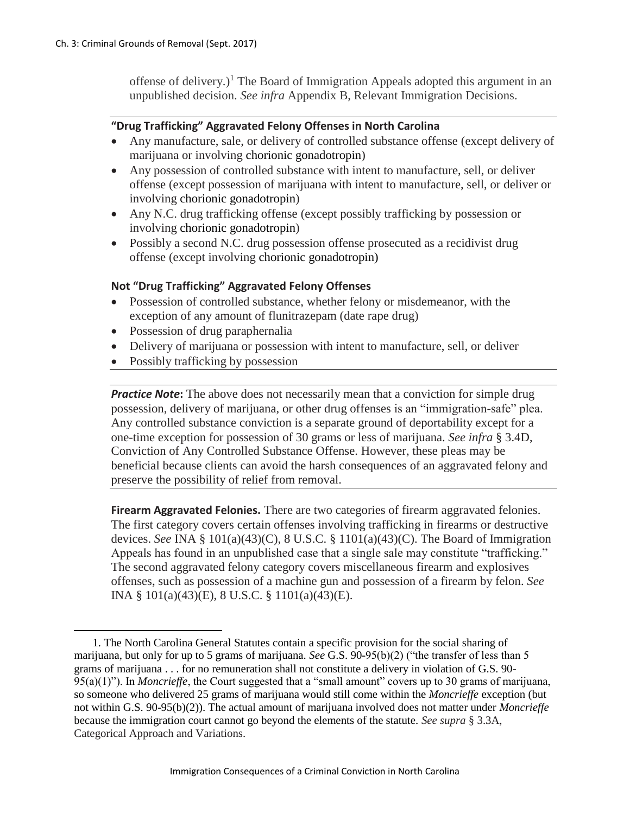offense of delivery.)<sup>1</sup> The Board of Immigration Appeals adopted this argument in an unpublished decision. *See infra* Appendix B, Relevant Immigration Decisions.

### **"Drug Trafficking" Aggravated Felony Offenses in North Carolina**

- Any manufacture, sale, or delivery of controlled substance offense (except delivery of marijuana or involving chorionic gonadotropin)
- Any possession of controlled substance with intent to manufacture, sell, or deliver offense (except possession of marijuana with intent to manufacture, sell, or deliver or involving chorionic gonadotropin)
- Any N.C. drug trafficking offense (except possibly trafficking by possession or involving chorionic gonadotropin)
- Possibly a second N.C. drug possession offense prosecuted as a recidivist drug offense (except involving chorionic gonadotropin)

### **Not "Drug Trafficking" Aggravated Felony Offenses**

- Possession of controlled substance, whether felony or misdemeanor, with the exception of any amount of flunitrazepam (date rape drug)
- Possession of drug paraphernalia
- Delivery of marijuana or possession with intent to manufacture, sell, or deliver
- Possibly trafficking by possession

 $\overline{\phantom{a}}$ 

**Practice Note:** The above does not necessarily mean that a conviction for simple drug possession, delivery of marijuana, or other drug offenses is an "immigration-safe" plea. Any controlled substance conviction is a separate ground of deportability except for a one-time exception for possession of 30 grams or less of marijuana. *See infra* § 3.4D, Conviction of Any Controlled Substance Offense. However, these pleas may be beneficial because clients can avoid the harsh consequences of an aggravated felony and preserve the possibility of relief from removal.

**Firearm Aggravated Felonies.** There are two categories of firearm aggravated felonies. The first category covers certain offenses involving trafficking in firearms or destructive devices. *See* INA § 101(a)(43)(C), 8 U.S.C. § 1101(a)(43)(C). The Board of Immigration Appeals has found in an unpublished case that a single sale may constitute "trafficking." The second aggravated felony category covers miscellaneous firearm and explosives offenses, such as possession of a machine gun and possession of a firearm by felon. *See*  INA § 101(a)(43)(E), 8 U.S.C. § 1101(a)(43)(E).

<sup>1.</sup> The North Carolina General Statutes contain a specific provision for the social sharing of marijuana, but only for up to 5 grams of marijuana. *See* G.S. 90-95(b)(2) ("the transfer of less than 5 grams of marijuana . . . for no remuneration shall not constitute a delivery in violation of G.S. 90- 95(a)(1)"). In *Moncrieffe*, the Court suggested that a "small amount" covers up to 30 grams of marijuana, so someone who delivered 25 grams of marijuana would still come within the *Moncrieffe* exception (but not within G.S. 90-95(b)(2)). The actual amount of marijuana involved does not matter under *Moncrieffe*  because the immigration court cannot go beyond the elements of the statute. *See supra* § 3.3A, Categorical Approach and Variations.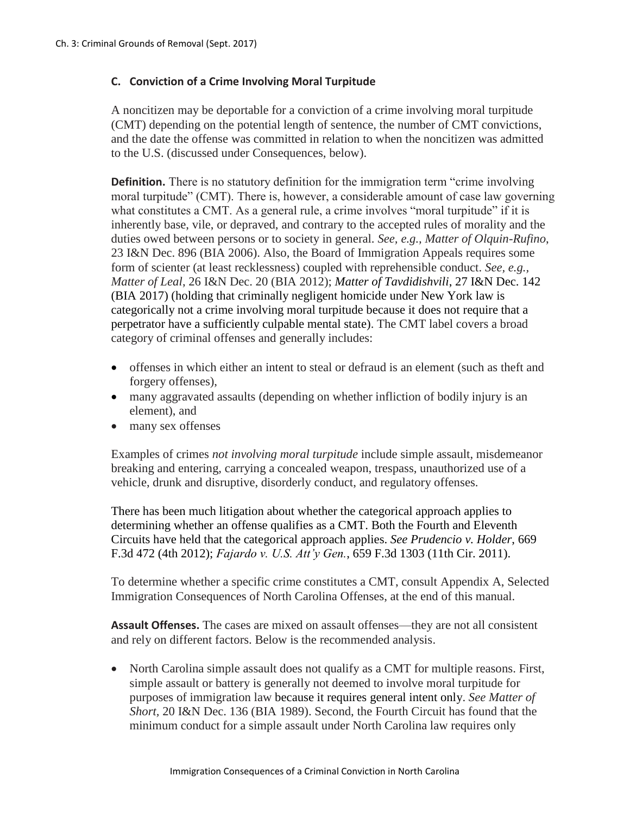### **C. Conviction of a Crime Involving Moral Turpitude**

A noncitizen may be deportable for a conviction of a crime involving moral turpitude (CMT) depending on the potential length of sentence, the number of CMT convictions, and the date the offense was committed in relation to when the noncitizen was admitted to the U.S. (discussed under Consequences, below).

**Definition.** There is no statutory definition for the immigration term "crime involving" moral turpitude" (CMT). There is, however, a considerable amount of case law governing what constitutes a CMT. As a general rule, a crime involves "moral turpitude" if it is inherently base, vile, or depraved, and contrary to the accepted rules of morality and the duties owed between persons or to society in general. *See, e.g., Matter of Olquin-Rufino*, 23 I&N Dec. 896 (BIA 2006). Also, the Board of Immigration Appeals requires some form of scienter (at least recklessness) coupled with reprehensible conduct. *See, e.g., Matter of Leal*, 26 I&N Dec. 20 (BIA 2012); *Matter of Tavdidishvili*, 27 I&N Dec. 142 (BIA 2017) (holding that criminally negligent homicide under New York law is categorically not a crime involving moral turpitude because it does not require that a perpetrator have a sufficiently culpable mental state). The CMT label covers a broad category of criminal offenses and generally includes:

- offenses in which either an intent to steal or defraud is an element (such as theft and forgery offenses),
- many aggravated assaults (depending on whether infliction of bodily injury is an element), and
- many sex offenses

Examples of crimes *not involving moral turpitude* include simple assault, misdemeanor breaking and entering, carrying a concealed weapon, trespass, unauthorized use of a vehicle, drunk and disruptive, disorderly conduct, and regulatory offenses.

There has been much litigation about whether the categorical approach applies to determining whether an offense qualifies as a CMT. Both the Fourth and Eleventh Circuits have held that the categorical approach applies. *See Prudencio v. Holder*, 669 F.3d 472 (4th 2012); *Fajardo v. U.S. Att'y Gen.*, 659 F.3d 1303 (11th Cir. 2011).

To determine whether a specific crime constitutes a CMT, consult Appendix A, Selected Immigration Consequences of North Carolina Offenses, at the end of this manual.

**Assault Offenses.** The cases are mixed on assault offenses—they are not all consistent and rely on different factors. Below is the recommended analysis.

• North Carolina simple assault does not qualify as a CMT for multiple reasons. First, simple assault or battery is generally not deemed to involve moral turpitude for purposes of immigration law because it requires general intent only. *See Matter of Short,* 20 I&N Dec. 136 (BIA 1989). Second, the Fourth Circuit has found that the minimum conduct for a simple assault under North Carolina law requires only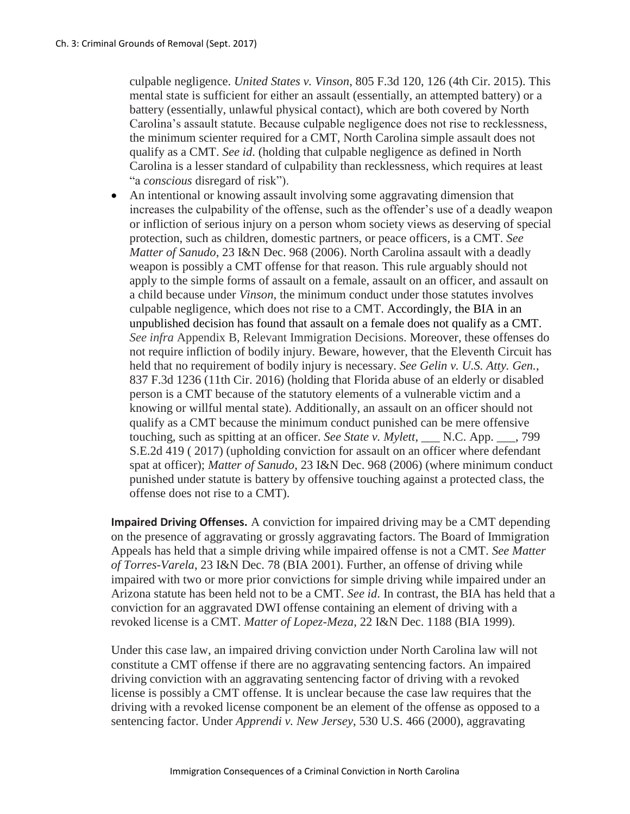culpable negligence. *United States v. Vinson*, 805 F.3d 120, 126 (4th Cir. 2015). This mental state is sufficient for either an assault (essentially, an attempted battery) or a battery (essentially, unlawful physical contact), which are both covered by North Carolina's assault statute. Because culpable negligence does not rise to recklessness, the minimum scienter required for a CMT, North Carolina simple assault does not qualify as a CMT. *See id*. (holding that culpable negligence as defined in North Carolina is a lesser standard of culpability than recklessness, which requires at least "a *conscious* disregard of risk").

 An intentional or knowing assault involving some aggravating dimension that increases the culpability of the offense, such as the offender's use of a deadly weapon or infliction of serious injury on a person whom society views as deserving of special protection, such as children, domestic partners, or peace officers, is a CMT. *See Matter of Sanudo*, 23 I&N Dec. 968 (2006). North Carolina assault with a deadly weapon is possibly a CMT offense for that reason. This rule arguably should not apply to the simple forms of assault on a female, assault on an officer, and assault on a child because under *Vinson*, the minimum conduct under those statutes involves culpable negligence, which does not rise to a CMT. Accordingly, the BIA in an unpublished decision has found that assault on a female does not qualify as a CMT. *See infra* Appendix B, Relevant Immigration Decisions. Moreover, these offenses do not require infliction of bodily injury. Beware, however, that the Eleventh Circuit has held that no requirement of bodily injury is necessary. *See Gelin v. U.S. Atty. Gen.*, 837 F.3d 1236 (11th Cir. 2016) (holding that Florida abuse of an elderly or disabled person is a CMT because of the statutory elements of a vulnerable victim and a knowing or willful mental state). Additionally, an assault on an officer should not qualify as a CMT because the minimum conduct punished can be mere offensive touching, such as spitting at an officer. *See State v. Mylett*, N.C. App.  $\,$ , 799 S.E.2d 419 ( 2017) (upholding conviction for assault on an officer where defendant spat at officer); *Matter of Sanudo*, 23 I&N Dec. 968 (2006) (where minimum conduct punished under statute is battery by offensive touching against a protected class, the offense does not rise to a CMT).

**Impaired Driving Offenses.** A conviction for impaired driving may be a CMT depending on the presence of aggravating or grossly aggravating factors. The Board of Immigration Appeals has held that a simple driving while impaired offense is not a CMT. *See Matter of Torres-Varela*, 23 I&N Dec. 78 (BIA 2001). Further, an offense of driving while impaired with two or more prior convictions for simple driving while impaired under an Arizona statute has been held not to be a CMT. *See id*. In contrast, the BIA has held that a conviction for an aggravated DWI offense containing an element of driving with a revoked license is a CMT. *Matter of Lopez-Meza*, 22 I&N Dec. 1188 (BIA 1999).

Under this case law, an impaired driving conviction under North Carolina law will not constitute a CMT offense if there are no aggravating sentencing factors. An impaired driving conviction with an aggravating sentencing factor of driving with a revoked license is possibly a CMT offense. It is unclear because the case law requires that the driving with a revoked license component be an element of the offense as opposed to a sentencing factor. Under *Apprendi v. New Jersey*, 530 U.S. 466 (2000), aggravating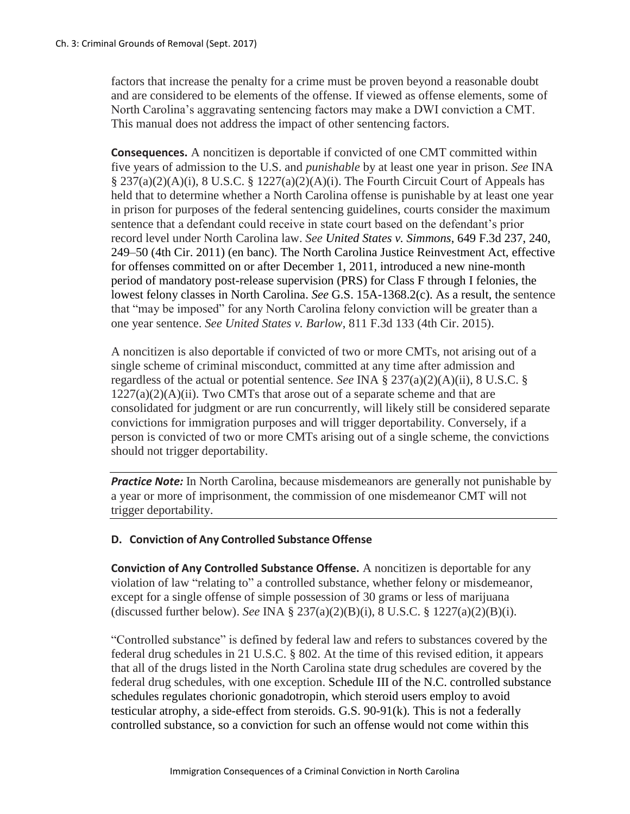factors that increase the penalty for a crime must be proven beyond a reasonable doubt and are considered to be elements of the offense. If viewed as offense elements, some of North Carolina's aggravating sentencing factors may make a DWI conviction a CMT. This manual does not address the impact of other sentencing factors.

**Consequences.** A noncitizen is deportable if convicted of one CMT committed within five years of admission to the U.S. and *punishable* by at least one year in prison. *See* INA  $\S 237(a)(2)(A)(i)$ , 8 U.S.C.  $\S 1227(a)(2)(A)(i)$ . The Fourth Circuit Court of Appeals has held that to determine whether a North Carolina offense is punishable by at least one year in prison for purposes of the federal sentencing guidelines, courts consider the maximum sentence that a defendant could receive in state court based on the defendant's prior record level under North Carolina law. *See United States v. Simmons*, 649 F.3d 237, 240, 249–50 (4th Cir. 2011) (en banc). The North Carolina Justice Reinvestment Act, effective for offenses committed on or after December 1, 2011, introduced a new nine-month period of mandatory post-release supervision (PRS) for Class F through I felonies, the lowest felony classes in North Carolina. *See* G.S. 15A-1368.2(c). As a result, the sentence that "may be imposed" for any North Carolina felony conviction will be greater than a one year sentence. *See United States v. Barlow*, 811 F.3d 133 (4th Cir. 2015).

A noncitizen is also deportable if convicted of two or more CMTs, not arising out of a single scheme of criminal misconduct, committed at any time after admission and regardless of the actual or potential sentence. *See* INA § 237(a)(2)(A)(ii), 8 U.S.C. §  $1227(a)(2)(A)(ii)$ . Two CMTs that arose out of a separate scheme and that are consolidated for judgment or are run concurrently, will likely still be considered separate convictions for immigration purposes and will trigger deportability. Conversely, if a person is convicted of two or more CMTs arising out of a single scheme, the convictions should not trigger deportability.

*Practice Note:* In North Carolina, because misdemeanors are generally not punishable by a year or more of imprisonment, the commission of one misdemeanor CMT will not trigger deportability.

### **D. Conviction of Any Controlled Substance Offense**

**Conviction of Any Controlled Substance Offense.** A noncitizen is deportable for any violation of law "relating to" a controlled substance, whether felony or misdemeanor, except for a single offense of simple possession of 30 grams or less of marijuana (discussed further below). *See* INA § 237(a)(2)(B)(i), 8 U.S.C. § 1227(a)(2)(B)(i).

"Controlled substance" is defined by federal law and refers to substances covered by the federal drug schedules in 21 U.S.C. § 802. At the time of this revised edition, it appears that all of the drugs listed in the North Carolina state drug schedules are covered by the federal drug schedules, with one exception. Schedule III of the N.C. controlled substance schedules regulates chorionic gonadotropin, which steroid users employ to avoid testicular atrophy, a side-effect from steroids. G.S. 90-91(k). This is not a federally controlled substance, so a conviction for such an offense would not come within this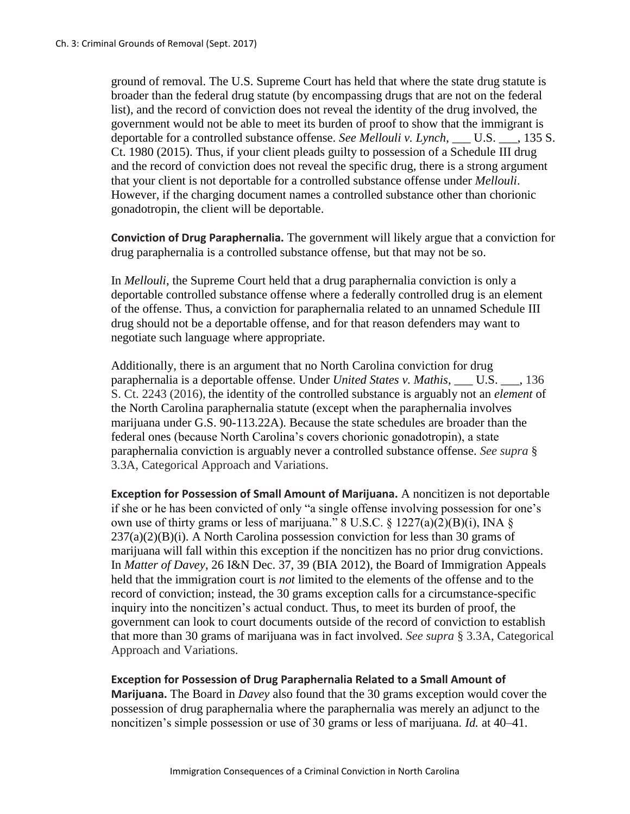ground of removal. The U.S. Supreme Court has held that where the state drug statute is broader than the federal drug statute (by encompassing drugs that are not on the federal list), and the record of conviction does not reveal the identity of the drug involved, the government would not be able to meet its burden of proof to show that the immigrant is deportable for a controlled substance offense. *See Mellouli v. Lynch*, U.S. , 135 S. Ct. 1980 (2015). Thus, if your client pleads guilty to possession of a Schedule III drug and the record of conviction does not reveal the specific drug, there is a strong argument that your client is not deportable for a controlled substance offense under *Mellouli*. However, if the charging document names a controlled substance other than chorionic gonadotropin, the client will be deportable.

**Conviction of Drug Paraphernalia.** The government will likely argue that a conviction for drug paraphernalia is a controlled substance offense, but that may not be so.

In *Mellouli*, the Supreme Court held that a drug paraphernalia conviction is only a deportable controlled substance offense where a federally controlled drug is an element of the offense. Thus, a conviction for paraphernalia related to an unnamed Schedule III drug should not be a deportable offense, and for that reason defenders may want to negotiate such language where appropriate.

Additionally, there is an argument that no North Carolina conviction for drug paraphernalia is a deportable offense. Under *United States v. Mathis*, U.S. , 136 S. Ct. 2243 (2016), the identity of the controlled substance is arguably not an *element* of the North Carolina paraphernalia statute (except when the paraphernalia involves marijuana under G.S. 90-113.22A). Because the state schedules are broader than the federal ones (because North Carolina's covers chorionic gonadotropin), a state paraphernalia conviction is arguably never a controlled substance offense. *See supra* § 3.3A, Categorical Approach and Variations.

**Exception for Possession of Small Amount of Marijuana.** A noncitizen is not deportable if she or he has been convicted of only "a single offense involving possession for one's own use of thirty grams or less of marijuana." 8 U.S.C.  $\frac{1227(a)(2)(B)(i)}{B(2)}$ , INA  $\frac{8}{12}$  $237(a)(2)(B)(i)$ . A North Carolina possession conviction for less than 30 grams of marijuana will fall within this exception if the noncitizen has no prior drug convictions. In *Matter of Davey*, 26 I&N Dec. 37, 39 (BIA 2012), the Board of Immigration Appeals held that the immigration court is *not* limited to the elements of the offense and to the record of conviction; instead, the 30 grams exception calls for a circumstance-specific inquiry into the noncitizen's actual conduct. Thus, to meet its burden of proof, the government can look to court documents outside of the record of conviction to establish that more than 30 grams of marijuana was in fact involved. *See supra* § 3.3A, Categorical Approach and Variations.

**Exception for Possession of Drug Paraphernalia Related to a Small Amount of Marijuana.** The Board in *Davey* also found that the 30 grams exception would cover the possession of drug paraphernalia where the paraphernalia was merely an adjunct to the noncitizen's simple possession or use of 30 grams or less of marijuana. *Id.* at 40–41.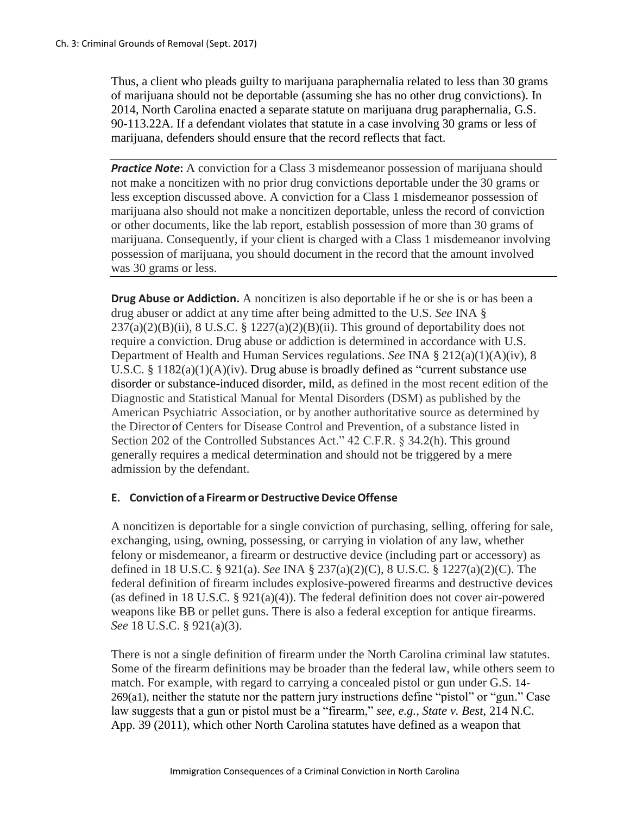Thus, a client who pleads guilty to marijuana paraphernalia related to less than 30 grams of marijuana should not be deportable (assuming she has no other drug convictions). In 2014, North Carolina enacted a separate statute on marijuana drug paraphernalia, G.S. 90-113.22A. If a defendant violates that statute in a case involving 30 grams or less of marijuana, defenders should ensure that the record reflects that fact.

**Practice Note:** A conviction for a Class 3 misdemeanor possession of marijuana should not make a noncitizen with no prior drug convictions deportable under the 30 grams or less exception discussed above. A conviction for a Class 1 misdemeanor possession of marijuana also should not make a noncitizen deportable, unless the record of conviction or other documents, like the lab report, establish possession of more than 30 grams of marijuana. Consequently, if your client is charged with a Class 1 misdemeanor involving possession of marijuana, you should document in the record that the amount involved was 30 grams or less.

**Drug Abuse or Addiction.** A noncitizen is also deportable if he or she is or has been a drug abuser or addict at any time after being admitted to the U.S. *See* INA §  $237(a)(2)(B)(ii)$ , 8 U.S.C. § 1227(a)(2)(B)(ii). This ground of deportability does not require a conviction. Drug abuse or addiction is determined in accordance with U.S. Department of Health and Human Services regulations. *See* INA § 212(a)(1)(A)(iv), 8 U.S.C. § 1182(a)(1)(A)(iv). Drug abuse is broadly defined as "current substance use disorder or substance-induced disorder, mild, as defined in the most recent edition of the Diagnostic and Statistical Manual for Mental Disorders (DSM) as published by the American Psychiatric Association, or by another authoritative source as determined by the Director of Centers for Disease Control and Prevention, of a substance listed in Section 202 of the Controlled Substances Act." 42 C.F.R. § 34.2(h). This ground generally requires a medical determination and should not be triggered by a mere admission by the defendant.

### **E.** Conviction of a Firearm or Destructive Device Offense

A noncitizen is deportable for a single conviction of purchasing, selling, offering for sale, exchanging, using, owning, possessing, or carrying in violation of any law, whether felony or misdemeanor, a firearm or destructive device (including part or accessory) as defined in 18 U.S.C. § 921(a). *See* INA § 237(a)(2)(C), 8 U.S.C. § 1227(a)(2)(C). The federal definition of firearm includes explosive-powered firearms and destructive devices (as defined in 18 U.S.C.  $\S$  921(a)(4)). The federal definition does not cover air-powered weapons like BB or pellet guns. There is also a federal exception for antique firearms. *See* 18 U.S.C. § 921(a)(3).

There is not a single definition of firearm under the North Carolina criminal law statutes. Some of the firearm definitions may be broader than the federal law, while others seem to match. For example, with regard to carrying a concealed pistol or gun under G.S. 14- 269(a1), neither the statute nor the pattern jury instructions define "pistol" or "gun." Case law suggests that a gun or pistol must be a "firearm," *see, e.g., State v. Best*, 214 N.C. App. 39 (2011), which other North Carolina statutes have defined as a weapon that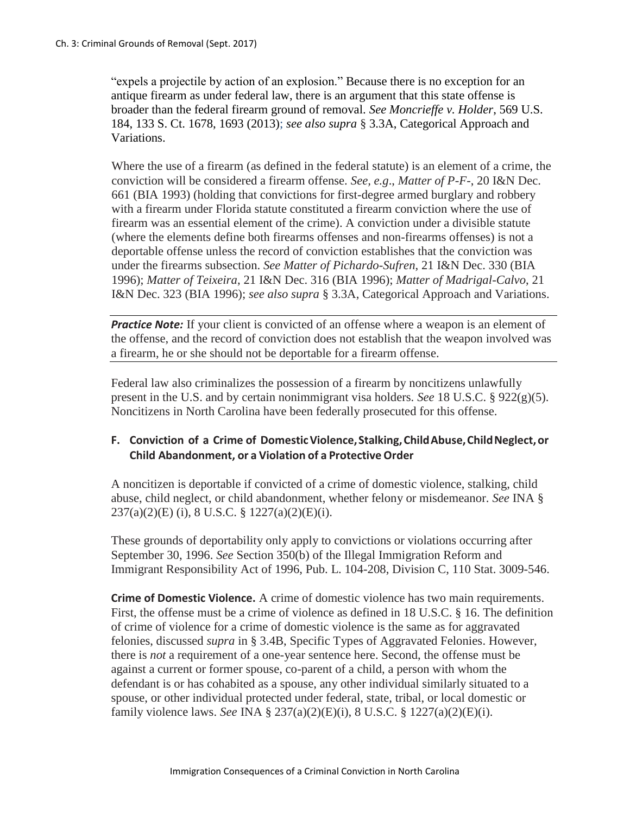"expels a projectile by action of an explosion." Because there is no exception for an antique firearm as under federal law, there is an argument that this state offense is broader than the federal firearm ground of removal. *See Moncrieffe v. Holder*, 569 U.S. 184, 133 S. Ct. 1678, 1693 (2013); *see also supra* § 3.3A, Categorical Approach and Variations.

Where the use of a firearm (as defined in the federal statute) is an element of a crime, the conviction will be considered a firearm offense. *See, e.g*., *Matter of P-F-*, 20 I&N Dec. 661 (BIA 1993) (holding that convictions for first-degree armed burglary and robbery with a firearm under Florida statute constituted a firearm conviction where the use of firearm was an essential element of the crime). A conviction under a divisible statute (where the elements define both firearms offenses and non-firearms offenses) is not a deportable offense unless the record of conviction establishes that the conviction was under the firearms subsection. *See Matter of Pichardo-Sufren*, 21 I&N Dec. 330 (BIA 1996); *Matter of Teixeira*, 21 I&N Dec. 316 (BIA 1996); *Matter of Madrigal-Calvo*, 21 I&N Dec. 323 (BIA 1996); *see also supra* § 3.3A, Categorical Approach and Variations.

*Practice Note:* If your client is convicted of an offense where a weapon is an element of the offense, and the record of conviction does not establish that the weapon involved was a firearm, he or she should not be deportable for a firearm offense.

Federal law also criminalizes the possession of a firearm by noncitizens unlawfully present in the U.S. and by certain nonimmigrant visa holders. *See* 18 U.S.C. § 922(g)(5). Noncitizens in North Carolina have been federally prosecuted for this offense.

## **F. Conviction of a Crime of DomesticViolence,Stalking,ChildAbuse,ChildNeglect,or Child Abandonment, or a Violation of a Protective Order**

A noncitizen is deportable if convicted of a crime of domestic violence, stalking, child abuse, child neglect, or child abandonment, whether felony or misdemeanor. *See* INA § 237(a)(2)(E) (i), 8 U.S.C. § 1227(a)(2)(E)(i).

These grounds of deportability only apply to convictions or violations occurring after September 30, 1996. *See* Section 350(b) of the Illegal Immigration Reform and Immigrant Responsibility Act of 1996, Pub. L. 104-208, Division C, 110 Stat. 3009-546.

**Crime of Domestic Violence.** A crime of domestic violence has two main requirements. First, the offense must be a crime of violence as defined in 18 U.S.C. § 16. The definition of crime of violence for a crime of domestic violence is the same as for aggravated felonies, discussed *supra* in § 3.4B, Specific Types of Aggravated Felonies. However, there is *not* a requirement of a one-year sentence here. Second, the offense must be against a current or former spouse, co-parent of a child, a person with whom the defendant is or has cohabited as a spouse, any other individual similarly situated to a spouse, or other individual protected under federal, state, tribal, or local domestic or family violence laws. *See* INA § 237(a)(2)(E)(i), 8 U.S.C. § 1227(a)(2)(E)(i).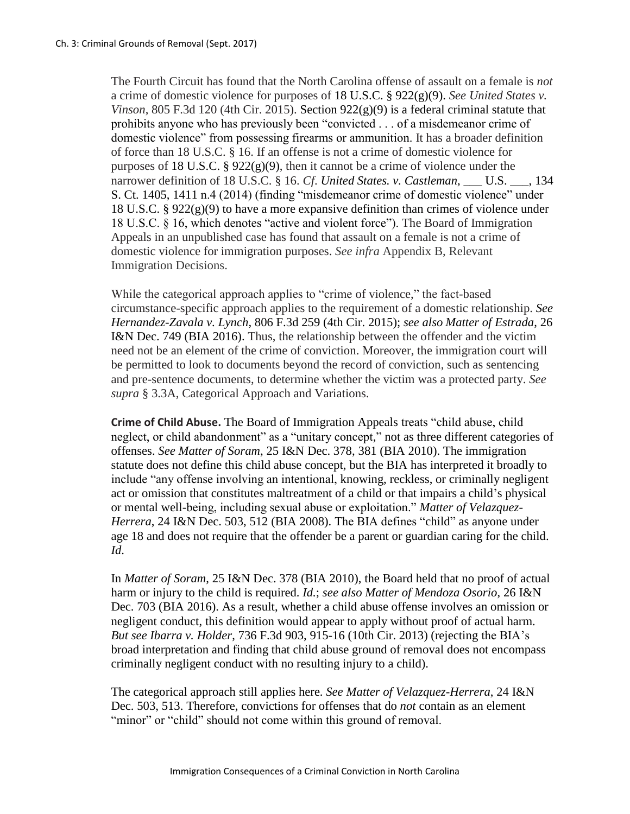The Fourth Circuit has found that the North Carolina offense of assault on a female is *not*  a crime of domestic violence for purposes of 18 U.S.C. § 922(g)(9). *See United States v. Vinson*, 805 F.3d 120 (4th Cir. 2015). Section  $922(g)(9)$  is a federal criminal statute that prohibits anyone who has previously been "convicted . . . of a misdemeanor crime of domestic violence" from possessing firearms or ammunition. It has a broader definition of force than 18 U.S.C. § 16. If an offense is not a crime of domestic violence for purposes of 18 U.S.C. § 922(g)(9), then it cannot be a crime of violence under the narrower definition of 18 U.S.C. § 16. *Cf. United States. v. Castleman*, \_\_\_ U.S. \_\_\_, 134 S. Ct. 1405, 1411 n.4 (2014) (finding "misdemeanor crime of domestic violence" under 18 U.S.C. § 922(g)(9) to have a more expansive definition than crimes of violence under 18 U.S.C. § 16, which denotes "active and violent force"). The Board of Immigration Appeals in an unpublished case has found that assault on a female is not a crime of domestic violence for immigration purposes. *See infra* Appendix B, Relevant Immigration Decisions.

While the categorical approach applies to "crime of violence," the fact-based circumstance-specific approach applies to the requirement of a domestic relationship. *See Hernandez-Zavala v. Lynch*, 806 F.3d 259 (4th Cir. 2015); *see also Matter of Estrada*, 26 I&N Dec. 749 (BIA 2016). Thus, the relationship between the offender and the victim need not be an element of the crime of conviction. Moreover, the immigration court will be permitted to look to documents beyond the record of conviction, such as sentencing and pre-sentence documents, to determine whether the victim was a protected party. *See supra* § 3.3A, Categorical Approach and Variations.

**Crime of Child Abuse.** The Board of Immigration Appeals treats "child abuse, child neglect, or child abandonment" as a "unitary concept," not as three different categories of offenses. *See Matter of Soram*, 25 I&N Dec. 378, 381 (BIA 2010). The immigration statute does not define this child abuse concept, but the BIA has interpreted it broadly to include "any offense involving an intentional, knowing, reckless, or criminally negligent act or omission that constitutes maltreatment of a child or that impairs a child's physical or mental well-being, including sexual abuse or exploitation." *Matter of Velazquez-Herrera*, 24 I&N Dec. 503, 512 (BIA 2008). The BIA defines "child" as anyone under age 18 and does not require that the offender be a parent or guardian caring for the child. *Id*.

In *Matter of Soram*, 25 I&N Dec. 378 (BIA 2010), the Board held that no proof of actual harm or injury to the child is required. *Id.*; *see also Matter of Mendoza Osorio*, 26 I&N Dec. 703 (BIA 2016). As a result, whether a child abuse offense involves an omission or negligent conduct, this definition would appear to apply without proof of actual harm. *But see Ibarra v. Holder*, 736 F.3d 903, 915-16 (10th Cir. 2013) (rejecting the BIA's broad interpretation and finding that child abuse ground of removal does not encompass criminally negligent conduct with no resulting injury to a child).

The categorical approach still applies here. *See Matter of Velazquez-Herrera*, 24 I&N Dec. 503, 513. Therefore, convictions for offenses that do *not* contain as an element "minor" or "child" should not come within this ground of removal.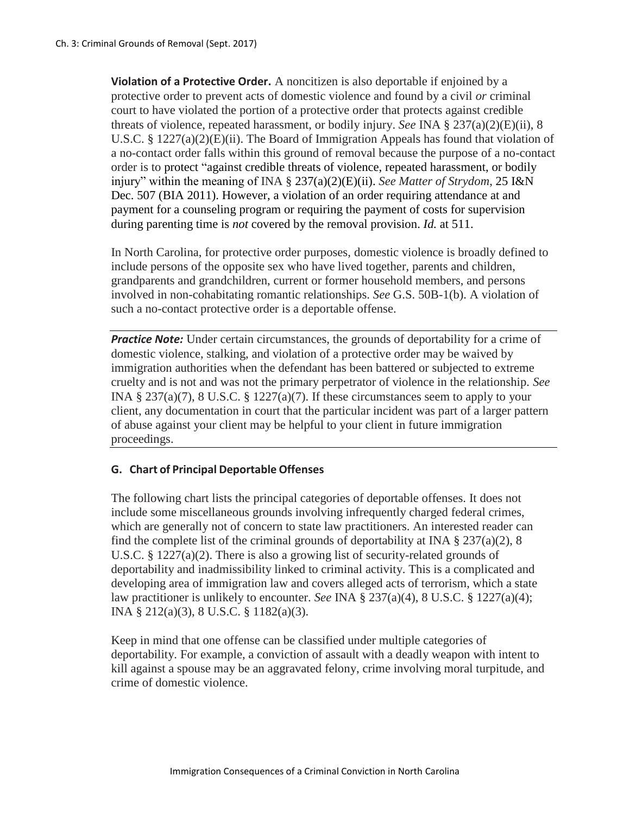**Violation of a Protective Order.** A noncitizen is also deportable if enjoined by a protective order to prevent acts of domestic violence and found by a civil *or* criminal court to have violated the portion of a protective order that protects against credible threats of violence, repeated harassment, or bodily injury. *See* INA § 237(a)(2)(E)(ii), 8 U.S.C. § 1227(a)(2)(E)(ii). The Board of Immigration Appeals has found that violation of a no-contact order falls within this ground of removal because the purpose of a no-contact order is to protect "against credible threats of violence, repeated harassment, or bodily injury" within the meaning of INA § 237(a)(2)(E)(ii). *See Matter of Strydom*, 25 I&N Dec. 507 (BIA 2011). However, a violation of an order requiring attendance at and payment for a counseling program or requiring the payment of costs for supervision during parenting time is *not* covered by the removal provision. *Id.* at 511.

In North Carolina, for protective order purposes, domestic violence is broadly defined to include persons of the opposite sex who have lived together, parents and children, grandparents and grandchildren, current or former household members, and persons involved in non-cohabitating romantic relationships. *See* G.S. 50B-1(b). A violation of such a no-contact protective order is a deportable offense.

*Practice Note:* Under certain circumstances, the grounds of deportability for a crime of domestic violence, stalking, and violation of a protective order may be waived by immigration authorities when the defendant has been battered or subjected to extreme cruelty and is not and was not the primary perpetrator of violence in the relationship. *See*  INA  $\S 237(a)(7)$ , 8 U.S.C.  $\S 1227(a)(7)$ . If these circumstances seem to apply to your client, any documentation in court that the particular incident was part of a larger pattern of abuse against your client may be helpful to your client in future immigration proceedings.

### **G. Chart of Principal Deportable Offenses**

The following chart lists the principal categories of deportable offenses. It does not include some miscellaneous grounds involving infrequently charged federal crimes, which are generally not of concern to state law practitioners. An interested reader can find the complete list of the criminal grounds of deportability at INA § 237(a)(2), 8 U.S.C. § 1227(a)(2). There is also a growing list of security-related grounds of deportability and inadmissibility linked to criminal activity. This is a complicated and developing area of immigration law and covers alleged acts of terrorism, which a state law practitioner is unlikely to encounter. *See* INA § 237(a)(4), 8 U.S.C. § 1227(a)(4); INA § 212(a)(3), 8 U.S.C. § 1182(a)(3).

Keep in mind that one offense can be classified under multiple categories of deportability. For example, a conviction of assault with a deadly weapon with intent to kill against a spouse may be an aggravated felony, crime involving moral turpitude, and crime of domestic violence.